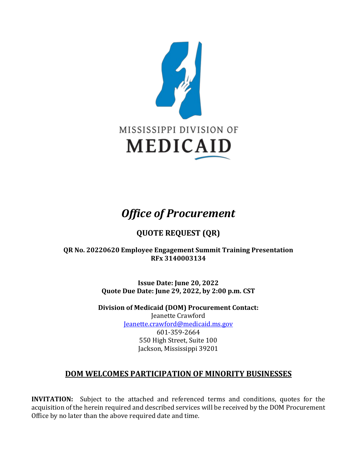

# *Office of Procurement*

# **QUOTE REQUEST (QR)**

# **QR No. 20220620 Employee Engagement Summit Training Presentation RFx 3140003134**

**Issue Date: June 20, 2022 Quote Due Date: June 29, 2022, by 2:00 p.m. CST** 

**Division of Medicaid (DOM) Procurement Contact:** Jeanette Crawford [Jeanette.crawford@medicaid.ms.gov](mailto:Jeanette.crawford@medicaid.ms.gov) 601-359-2664 550 High Street, Suite 100 Jackson, Mississippi 39201

# **DOM WELCOMES PARTICIPATION OF MINORITY BUSINESSES**

**INVITATION:** Subject to the attached and referenced terms and conditions, quotes for the acquisition of the herein required and described services will be received by the DOM Procurement Office by no later than the above required date and time.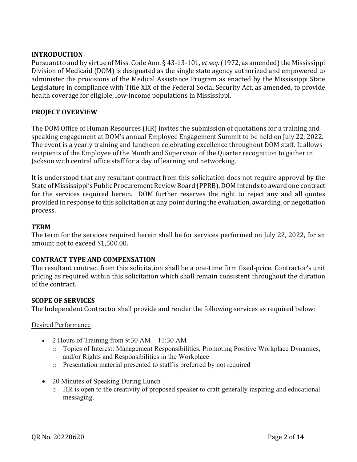# **INTRODUCTION**

Pursuant to and by virtue of Miss. Code Ann. § 43-13-101, *et seq.* (1972, as amended) the Mississippi Division of Medicaid (DOM) is designated as the single state agency authorized and empowered to administer the provisions of the Medical Assistance Program as enacted by the Mississippi State Legislature in compliance with Title XIX of the Federal Social Security Act, as amended, to provide health coverage for eligible, low-income populations in Mississippi.

# **PROJECT OVERVIEW**

The DOM Office of Human Resources (HR) invites the submission of quotations for a training and speaking engagement at DOM's annual Employee Engagement Summit to be held on July 22, 2022. The event is a yearly training and luncheon celebrating excellence throughout DOM staff. It allows recipients of the Employee of the Month and Supervisor of the Quarter recognition to gather in Jackson with central office staff for a day of learning and networking.

It is understood that any resultant contract from this solicitation does not require approval by the State of Mississippi's Public Procurement Review Board (PPRB). DOM intends to award one contract for the services required herein. DOM further reserves the right to reject any and all quotes provided in response to this solicitation at any point during the evaluation, awarding, or negotiation process.

#### **TERM**

The term for the services required herein shall be for services performed on July 22, 2022, for an amount not to exceed \$1,500.00.

#### **CONTRACT TYPE AND COMPENSATION**

The resultant contract from this solicitation shall be a one-time firm fixed-price. Contractor's unit pricing as required within this solicitation which shall remain consistent throughout the duration of the contract.

#### **SCOPE OF SERVICES**

The Independent Contractor shall provide and render the following services as required below:

#### Desired Performance

- 2 Hours of Training from 9:30 AM 11:30 AM
	- o Topics of Interest: Management Responsibilities, Promoting Positive Workplace Dynamics, and/or Rights and Responsibilities in the Workplace
	- o Presentation material presented to staff is preferred by not required
- 20 Minutes of Speaking During Lunch
	- o HR is open to the creativity of proposed speaker to craft generally inspiring and educational messaging.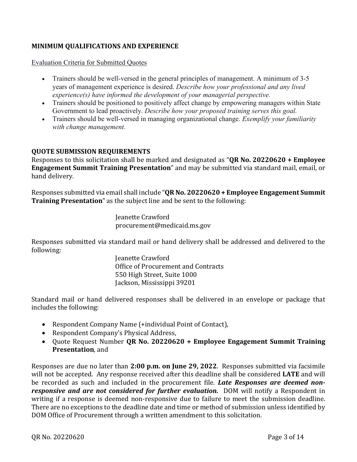# **MINIMUM QUALIFICATIONS AND EXPERIENCE**

Evaluation Criteria for Submitted Quotes

- Trainers should be well-versed in the general principles of management. A minimum of 3-5 years of management experience is desired. *Describe how your professional and any lived experience(s) have informed the development of your managerial perspective.*
- Trainers should be positioned to positively affect change by empowering managers within State Government to lead proactively. *Describe how your proposed training serves this goal.*
- Trainers should be well-versed in managing organizational change. *Exemplify your familiarity with change management.*

# **QUOTE SUBMISSION REQUIREMENTS**

Responses to this solicitation shall be marked and designated as "**QR No. 20220620 + Employee Engagement Summit Training Presentation**" and may be submitted via standard mail, email, or hand delivery.

Responses submitted via email shall include "**QR No. 20220620 + Employee Engagement Summit Training Presentation**" as the subject line and be sent to the following:

> Jeanette Crawford procurement@medicaid.ms.gov

Responses submitted via standard mail or hand delivery shall be addressed and delivered to the following:

> Jeanette Crawford Office of Procurement and Contracts 550 High Street, Suite 1000 Jackson, Mississippi 39201

Standard mail or hand delivered responses shall be delivered in an envelope or package that includes the following:

- Respondent Company Name (+individual Point of Contact),
- Respondent Company's Physical Address,
- Quote Request Number **QR No. 20220620 + Employee Engagement Summit Training Presentation**, and

Responses are due no later than **2:00 p.m. on June 29, 2022**. Responses submitted via facsimile will not be accepted. Any response received after this deadline shall be considered **LATE** and will be recorded as such and included in the procurement file. *Late Responses are deemed nonresponsive and are not considered for further evaluation.* DOM will notify a Respondent in writing if a response is deemed non-responsive due to failure to meet the submission deadline. There are no exceptions to the deadline date and time or method of submission unless identified by DOM Office of Procurement through a written amendment to this solicitation.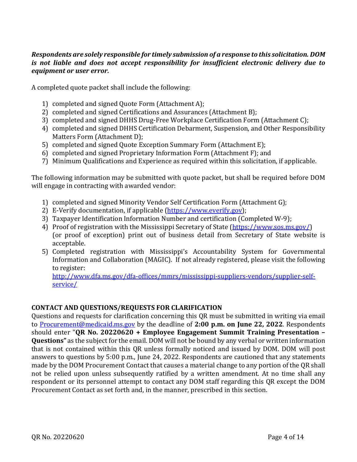# *Respondents are solely responsible for timely submission of a response to this solicitation. DOM is not liable and does not accept responsibility for insufficient electronic delivery due to equipment or user error.*

A completed quote packet shall include the following:

- 1) completed and signed Quote Form (Attachment A);
- 2) completed and signed Certifications and Assurances (Attachment B);
- 3) completed and signed DHHS Drug-Free Workplace Certification Form (Attachment C);
- 4) completed and signed DHHS Certification Debarment, Suspension, and Other Responsibility Matters Form (Attachment D);
- 5) completed and signed Quote Exception Summary Form (Attachment E);
- 6) completed and signed Proprietary Information Form (Attachment F); and
- 7) Minimum Qualifications and Experience as required within this solicitation, if applicable.

The following information may be submitted with quote packet, but shall be required before DOM will engage in contracting with awarded vendor:

- 1) completed and signed Minority Vendor Self Certification Form (Attachment G);
- 2) E-Verify documentation, if applicable [\(https://www.everify.gov\)](https://www.everify.gov/);
- 3) Taxpayer Identification Information Number and certification (Completed W-9);
- 4) Proof of registration with the Mississippi Secretary of State [\(https://www.sos.ms.gov/\)](https://www.sos.ms.gov/) (or proof of exception) print out of business detail from Secretary of State website is acceptable.
- 5) Completed registration with Mississippi's Accountability System for Governmental Information and Collaboration (MAGIC). If not already registered, please visit the following to register:

[http://www.dfa.ms.gov/dfa-offices/mmrs/mississippi-suppliers-vendors/supplier-self](http://www.dfa.ms.gov/dfa-offices/mmrs/mississippi-suppliers-vendors/supplier-self-service/)[service/](http://www.dfa.ms.gov/dfa-offices/mmrs/mississippi-suppliers-vendors/supplier-self-service/) 

# **CONTACT AND QUESTIONS/REQUESTS FOR CLARIFICATION**

Questions and requests for clarification concerning this QR must be submitted in writing via email to [Procurement@medicaid.ms.gov](mailto:Procurement@medicaid.ms.gov) by the deadline of **2:00 p.m. on June 22, 2022**. Respondents should enter "**QR No. 20220620 + Employee Engagement Summit Training Presentation – Questions"** as the subject for the email. DOM will not be bound by any verbal or written information that is not contained within this QR unless formally noticed and issued by DOM. DOM will post answers to questions by 5:00 p.m., June 24, 2022. Respondents are cautioned that any statements made by the DOM Procurement Contact that causes a material change to any portion of the QR shall not be relied upon unless subsequently ratified by a written amendment. At no time shall any respondent or its personnel attempt to contact any DOM staff regarding this QR except the DOM Procurement Contact as set forth and, in the manner, prescribed in this section.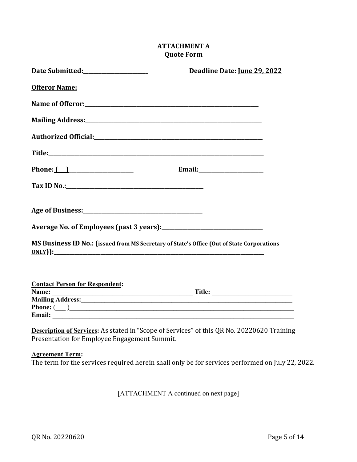# **ATTACHMENT A Quote Form**

| Date Submitted:__________________     | Deadline Date: June 29, 2022                                                                                                                                                                                                   |
|---------------------------------------|--------------------------------------------------------------------------------------------------------------------------------------------------------------------------------------------------------------------------------|
| <b>Offeror Name:</b>                  |                                                                                                                                                                                                                                |
|                                       |                                                                                                                                                                                                                                |
|                                       |                                                                                                                                                                                                                                |
|                                       |                                                                                                                                                                                                                                |
|                                       |                                                                                                                                                                                                                                |
|                                       |                                                                                                                                                                                                                                |
|                                       |                                                                                                                                                                                                                                |
|                                       |                                                                                                                                                                                                                                |
|                                       |                                                                                                                                                                                                                                |
|                                       | MS Business ID No.: (issued from MS Secretary of State's Office (Out of State Corporations                                                                                                                                     |
| <b>Contact Person for Respondent:</b> | Mailing Address: 1988 Mailing Address: 1988 Mailing Address: 1988 Mailing Address: 1988 Mailing Address: 1988 Mailing Address: 1988 Mailing Address: 1988 Mailing Address: 1988 Mailing Address: 1988 Mailing Address: 1988 Ma |
|                                       |                                                                                                                                                                                                                                |

**Description of Services:** As stated in "Scope of Services" of this QR No. 20220620 Training Presentation for Employee Engagement Summit.

**Agreement Term:** 

The term for the services required herein shall only be for services performed on July 22, 2022.

[ATTACHMENT A continued on next page]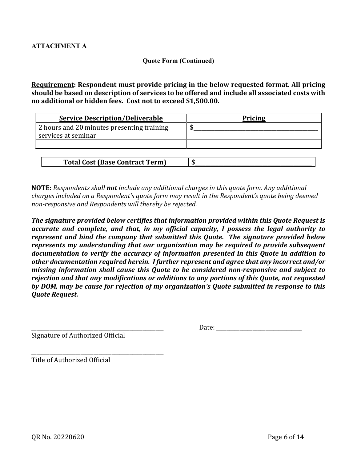#### **Quote Form (Continued)**

**Requirement: Respondent must provide pricing in the below requested format. All pricing should be based on description of services to be offered and include all associated costs with no additional or hidden fees. Cost not to exceed \$1,500.00.**

| <b>Service Description/Deliverable</b>                            | <b>Pricing</b> |
|-------------------------------------------------------------------|----------------|
| 2 hours and 20 minutes presenting training<br>services at seminar |                |
|                                                                   |                |

| <b>Total Cost (Base Contract Term)</b> |  |
|----------------------------------------|--|
|----------------------------------------|--|

**NOTE:** *Respondents shall not include any additional charges in this quote form. Any additional charges included on a Respondent's quote form may result in the Respondent's quote being deemed non-responsive and Respondents will thereby be rejected.* 

*The signature provided below certifies that information provided within this Quote Request is accurate and complete, and that, in my official capacity, I possess the legal authority to represent and bind the company that submitted this Quote. The signature provided below represents my understanding that our organization may be required to provide subsequent documentation to verify the accuracy of information presented in this Quote in addition to other documentation required herein. I further represent and agree that any incorrect and/or missing information shall cause this Quote to be considered non-responsive and subject to rejection and that any modifications or additions to any portions of this Quote, not requested by DOM, may be cause for rejection of my organization's Quote submitted in response to this Quote Request.*

Signature of Authorized Official

\_\_\_\_\_\_\_\_\_\_\_\_\_\_\_\_\_\_\_\_\_\_\_\_\_\_\_\_\_\_\_\_\_\_\_\_\_\_\_\_\_\_\_\_\_\_\_\_\_\_\_ Date: \_\_\_\_\_\_\_\_\_\_\_\_\_\_\_\_\_\_\_\_\_\_\_\_\_\_\_\_\_\_\_\_\_

\_\_\_\_\_\_\_\_\_\_\_\_\_\_\_\_\_\_\_\_\_\_\_\_\_\_\_\_\_\_\_\_\_\_\_\_\_\_\_\_\_\_\_\_\_\_\_\_\_\_\_ Title of Authorized Official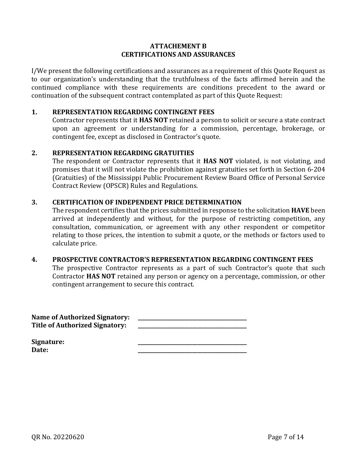# **ATTACHEMENT B CERTIFICATIONS AND ASSURANCES**

I/We present the following certifications and assurances as a requirement of this Quote Request as to our organization's understanding that the truthfulness of the facts affirmed herein and the continued compliance with these requirements are conditions precedent to the award or continuation of the subsequent contract contemplated as part of this Quote Request:

#### **1. REPRESENTATION REGARDING CONTINGENT FEES**

Contractor represents that it **HAS NOT** retained a person to solicit or secure a state contract upon an agreement or understanding for a commission, percentage, brokerage, or contingent fee, except as disclosed in Contractor's quote.

# **2. REPRESENTATION REGARDING GRATUITIES**

The respondent or Contractor represents that it **HAS NOT** violated, is not violating, and promises that it will not violate the prohibition against gratuities set forth in Section 6-204 (Gratuities) of the Mississippi Public Procurement Review Board Office of Personal Service Contract Review (OPSCR) Rules and Regulations.

# **3. CERTIFICATION OF INDEPENDENT PRICE DETERMINATION**

The respondent certifies that the prices submitted in response to the solicitation **HAVE** been arrived at independently and without, for the purpose of restricting competition, any consultation, communication, or agreement with any other respondent or competitor relating to those prices, the intention to submit a quote, or the methods or factors used to calculate price.

#### **4. PROSPECTIVE CONTRACTOR'S REPRESENTATION REGARDING CONTINGENT FEES**

The prospective Contractor represents as a part of such Contractor's quote that such Contractor **HAS NOT** retained any person or agency on a percentage, commission, or other contingent arrangement to secure this contract.

Name of Authorized Signatory: **Title of Authorized Signatory: \_\_\_\_\_\_\_\_\_\_\_\_\_\_\_\_\_\_\_\_\_\_\_\_\_\_\_\_\_\_\_\_\_\_\_\_\_\_\_\_\_\_**

 $Signature:$ **Date: \_\_\_\_\_\_\_\_\_\_\_\_\_\_\_\_\_\_\_\_\_\_\_\_\_\_\_\_\_\_\_\_\_\_\_\_\_\_\_\_\_\_**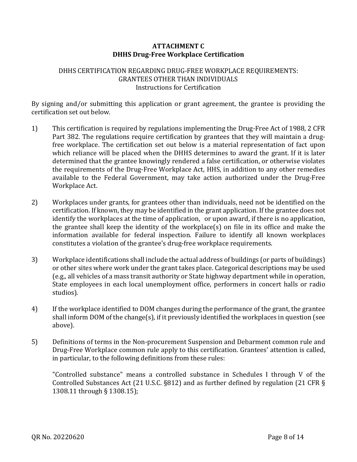# **ATTACHMENT C DHHS Drug-Free Workplace Certification**

# DHHS CERTIFICATION REGARDING DRUG-FREE WORKPLACE REQUIREMENTS: GRANTEES OTHER THAN INDIVIDUALS Instructions for Certification

By signing and/or submitting this application or grant agreement, the grantee is providing the certification set out below.

- 1) This certification is required by regulations implementing the Drug-Free Act of 1988, 2 CFR Part 382. The regulations require certification by grantees that they will maintain a drugfree workplace. The certification set out below is a material representation of fact upon which reliance will be placed when the DHHS determines to award the grant. If it is later determined that the grantee knowingly rendered a false certification, or otherwise violates the requirements of the Drug-Free Workplace Act, HHS, in addition to any other remedies available to the Federal Government, may take action authorized under the Drug-Free Workplace Act.
- 2) Workplaces under grants, for grantees other than individuals, need not be identified on the certification. If known, they may be identified in the grant application. If the grantee does not identify the workplaces at the time of application, or upon award, if there is no application, the grantee shall keep the identity of the workplace(s) on file in its office and make the information available for federal inspection. Failure to identify all known workplaces constitutes a violation of the grantee's drug-free workplace requirements.
- 3) Workplace identifications shall include the actual address of buildings (or parts of buildings) or other sites where work under the grant takes place. Categorical descriptions may be used (e.g., all vehicles of a mass transit authority or State highway department while in operation, State employees in each local unemployment office, performers in concert halls or radio studios).
- 4) If the workplace identified to DOM changes during the performance of the grant, the grantee shall inform DOM of the change(s), if it previously identified the workplaces in question (see above).
- 5) Definitions of terms in the Non-procurement Suspension and Debarment common rule and Drug-Free Workplace common rule apply to this certification. Grantees' attention is called, in particular, to the following definitions from these rules:

"Controlled substance" means a controlled substance in Schedules I through V of the Controlled Substances Act (21 U.S.C. §812) and as further defined by regulation (21 CFR § 1308.11 through § 1308.15);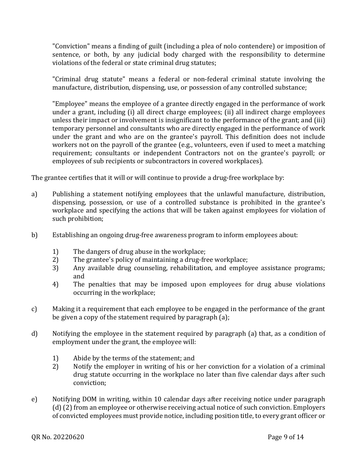"Conviction" means a finding of guilt (including a plea of nolo contendere) or imposition of sentence, or both, by any judicial body charged with the responsibility to determine violations of the federal or state criminal drug statutes;

"Criminal drug statute" means a federal or non-federal criminal statute involving the manufacture, distribution, dispensing, use, or possession of any controlled substance;

"Employee" means the employee of a grantee directly engaged in the performance of work under a grant, including (i) all direct charge employees; (ii) all indirect charge employees unless their impact or involvement is insignificant to the performance of the grant; and (iii) temporary personnel and consultants who are directly engaged in the performance of work under the grant and who are on the grantee's payroll. This definition does not include workers not on the payroll of the grantee (e.g., volunteers, even if used to meet a matching requirement; consultants or independent Contractors not on the grantee's payroll; or employees of sub recipients or subcontractors in covered workplaces).

The grantee certifies that it will or will continue to provide a drug-free workplace by:

- a) Publishing a statement notifying employees that the unlawful manufacture, distribution, dispensing, possession, or use of a controlled substance is prohibited in the grantee's workplace and specifying the actions that will be taken against employees for violation of such prohibition;
- b) Establishing an ongoing drug-free awareness program to inform employees about:
	- 1) The dangers of drug abuse in the workplace;<br>2) The grantee's policy of maintaining a drug-fre
	- 2) The grantee's policy of maintaining a drug-free workplace;<br>3) Any available drug counseling, rehabilitation, and employ
	- Any available drug counseling, rehabilitation, and employee assistance programs; and
	- 4) The penalties that may be imposed upon employees for drug abuse violations occurring in the workplace;
- c) Making it a requirement that each employee to be engaged in the performance of the grant be given a copy of the statement required by paragraph (a);
- d) Notifying the employee in the statement required by paragraph (a) that, as a condition of employment under the grant, the employee will:
	- 1) Abide by the terms of the statement; and<br>2) Notify the employer in writing of his or
	- 2) Notify the employer in writing of his or her conviction for a violation of a criminal drug statute occurring in the workplace no later than five calendar days after such conviction;
- e) Notifying DOM in writing, within 10 calendar days after receiving notice under paragraph (d) (2) from an employee or otherwise receiving actual notice of such conviction. Employers of convicted employees must provide notice, including position title, to every grant officer or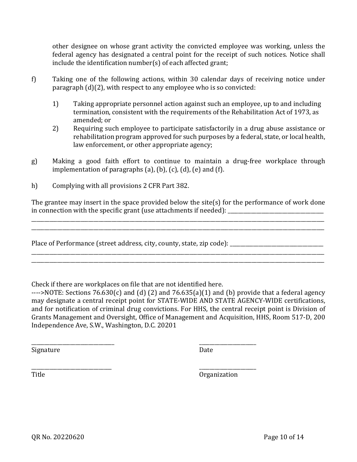other designee on whose grant activity the convicted employee was working, unless the federal agency has designated a central point for the receipt of such notices. Notice shall include the identification number(s) of each affected grant;

- f) Taking one of the following actions, within 30 calendar days of receiving notice under paragraph (d)(2), with respect to any employee who is so convicted:
	- 1) Taking appropriate personnel action against such an employee, up to and including termination, consistent with the requirements of the Rehabilitation Act of 1973, as amended; or
	- 2) Requiring such employee to participate satisfactorily in a drug abuse assistance or rehabilitation program approved for such purposes by a federal, state, or local health, law enforcement, or other appropriate agency;
- g) Making a good faith effort to continue to maintain a drug-free workplace through implementation of paragraphs  $(a)$ ,  $(b)$ ,  $(c)$ ,  $(d)$ ,  $(e)$  and  $(f)$ .
- h) Complying with all provisions 2 CFR Part 382.

The grantee may insert in the space provided below the site(s) for the performance of work done in connection with the specific grant (use attachments if needed): \_\_\_\_\_\_\_\_\_\_\_\_\_\_\_\_\_\_\_\_\_\_\_\_\_\_\_\_\_\_\_\_\_\_\_\_\_

\_\_\_\_\_\_\_\_\_\_\_\_\_\_\_\_\_\_\_\_\_\_\_\_\_\_\_\_\_\_\_\_\_\_\_\_\_\_\_\_\_\_\_\_\_\_\_\_\_\_\_\_\_\_\_\_\_\_\_\_\_\_\_\_\_\_\_\_\_\_\_\_\_\_\_\_\_\_\_\_\_\_\_\_\_\_\_\_\_\_\_\_\_\_\_\_\_\_\_\_\_\_\_\_\_\_\_\_\_\_\_\_\_ \_\_\_\_\_\_\_\_\_\_\_\_\_\_\_\_\_\_\_\_\_\_\_\_\_\_\_\_\_\_\_\_\_\_\_\_\_\_\_\_\_\_\_\_\_\_\_\_\_\_\_\_\_\_\_\_\_\_\_\_\_\_\_\_\_\_\_\_\_\_\_\_\_\_\_\_\_\_\_\_\_\_\_\_\_\_\_\_\_\_\_\_\_\_\_\_\_\_\_\_\_\_\_\_\_\_\_\_\_\_\_\_\_

\_\_\_\_\_\_\_\_\_\_\_\_\_\_\_\_\_\_\_\_\_\_\_\_\_\_\_\_\_\_\_\_\_\_\_\_\_\_\_\_\_\_\_\_\_\_\_\_\_\_\_\_\_\_\_\_\_\_\_\_\_\_\_\_\_\_\_\_\_\_\_\_\_\_\_\_\_\_\_\_\_\_\_\_\_\_\_\_\_\_\_\_\_\_\_\_\_\_\_\_\_\_\_\_\_\_\_\_\_\_\_\_\_ \_\_\_\_\_\_\_\_\_\_\_\_\_\_\_\_\_\_\_\_\_\_\_\_\_\_\_\_\_\_\_\_\_\_\_\_\_\_\_\_\_\_\_\_\_\_\_\_\_\_\_\_\_\_\_\_\_\_\_\_\_\_\_\_\_\_\_\_\_\_\_\_\_\_\_\_\_\_\_\_\_\_\_\_\_\_\_\_\_\_\_\_\_\_\_\_\_\_\_\_\_\_\_\_\_\_\_\_\_\_\_\_\_

Place of Performance (street address, city, county, state, zip code): \_\_\_\_\_\_\_\_\_\_\_\_\_\_\_\_\_\_\_\_\_\_\_\_\_\_\_\_\_\_\_\_\_\_\_\_

Check if there are workplaces on file that are not identified here.

---->NOTE: Sections 76.630(c) and (d) (2) and 76.635(a)(1) and (b) provide that a federal agency may designate a central receipt point for STATE-WIDE AND STATE AGENCY-WIDE certifications, and for notification of criminal drug convictions. For HHS, the central receipt point is Division of Grants Management and Oversight, Office of Management and Acquisition, HHS, Room 517-D, 200 Independence Ave, S.W., Washington, D.C. 20201

\_\_\_\_\_\_\_\_\_\_\_\_\_\_\_\_\_\_\_\_\_\_\_\_\_\_\_\_\_\_\_\_ \_\_\_\_\_\_\_\_\_\_\_\_\_\_\_\_\_\_\_\_\_\_ Signature Date

\_\_\_\_\_\_\_\_\_\_\_\_\_\_\_\_\_\_\_\_\_\_\_\_\_\_\_\_\_\_\_ \_\_\_\_\_\_\_\_\_\_\_\_\_\_\_\_\_\_\_\_\_\_ Title **The Contract Contract Contract Contract Contract Contract Contract Contract Contract Contract Contract Contract Contract Contract Contract Contract Contract Contract Contract Contract Contract Contract Contract Cont**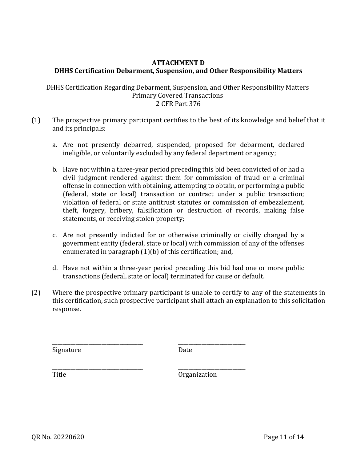# **ATTACHMENT D DHHS Certification Debarment, Suspension, and Other Responsibility Matters**

# DHHS Certification Regarding Debarment, Suspension, and Other Responsibility Matters Primary Covered Transactions 2 CFR Part 376

- (1) The prospective primary participant certifies to the best of its knowledge and belief that it and its principals:
	- a. Are not presently debarred, suspended, proposed for debarment, declared ineligible, or voluntarily excluded by any federal department or agency;
	- b. Have not within a three-year period preceding this bid been convicted of or had a civil judgment rendered against them for commission of fraud or a criminal offense in connection with obtaining, attempting to obtain, or performing a public (federal, state or local) transaction or contract under a public transaction; violation of federal or state antitrust statutes or commission of embezzlement, theft, forgery, bribery, falsification or destruction of records, making false statements, or receiving stolen property;
	- c. Are not presently indicted for or otherwise criminally or civilly charged by a government entity (federal, state or local) with commission of any of the offenses enumerated in paragraph (1)(b) of this certification; and,
	- d. Have not within a three-year period preceding this bid had one or more public transactions (federal, state or local) terminated for cause or default.
- (2) Where the prospective primary participant is unable to certify to any of the statements in this certification, such prospective participant shall attach an explanation to this solicitation response.

\_\_\_\_\_\_\_\_\_\_\_\_\_\_\_\_\_\_\_\_\_\_\_\_\_\_\_\_\_\_\_\_\_\_\_ \_\_\_\_\_\_\_\_\_\_\_\_\_\_\_\_\_\_\_\_\_\_\_\_\_\_ Signature Date

\_\_\_\_\_\_\_\_\_\_\_\_\_\_\_\_\_\_\_\_\_\_\_\_\_\_\_\_\_\_\_\_\_\_\_ \_\_\_\_\_\_\_\_\_\_\_\_\_\_\_\_\_\_\_\_\_\_\_\_\_\_ Title **Title** Organization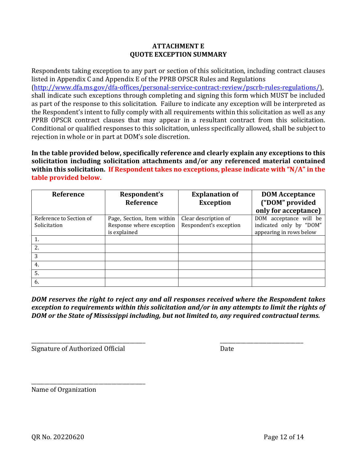# **ATTACHMENT E QUOTE EXCEPTION SUMMARY**

Respondents taking exception to any part or section of this solicitation, including contract clauses listed in Appendix C and Appendix E of the PPRB OPSCR Rules and Regulations [\(http://www.dfa.ms.gov/dfa-offices/personal-service-contract-review/pscrb-rules-regulations/\)](http://www.dfa.ms.gov/dfa-offices/personal-service-contract-review/pscrb-rules-regulations/), shall indicate such exceptions through completing and signing this form which MUST be included as part of the response to this solicitation. Failure to indicate any exception will be interpreted as the Respondent's intent to fully comply with all requirements within this solicitation as well as any PPRB OPSCR contract clauses that may appear in a resultant contract from this solicitation. Conditional or qualified responses to this solicitation, unless specifically allowed, shall be subject to rejection in whole or in part at DOM's sole discretion.

**In the table provided below, specifically reference and clearly explain any exceptions to this solicitation including solicitation attachments and/or any referenced material contained within this solicitation. If Respondent takes no exceptions, please indicate with "N/A" in the table provided below.**

| Reference               | Respondent's               | <b>Explanation of</b>  | <b>DOM Acceptance</b>   |
|-------------------------|----------------------------|------------------------|-------------------------|
|                         | Reference                  | <b>Exception</b>       | ("DOM" provided         |
|                         |                            |                        | only for acceptance)    |
| Reference to Section of | Page, Section, Item within | Clear description of   | DOM acceptance will be  |
| Solicitation            | Response where exception   | Respondent's exception | indicated only by "DOM" |
|                         | is explained               |                        | appearing in rows below |
| 1.                      |                            |                        |                         |
| 2.                      |                            |                        |                         |
| 3                       |                            |                        |                         |
| 4.                      |                            |                        |                         |
| 5.                      |                            |                        |                         |
| 6.                      |                            |                        |                         |

*DOM reserves the right to reject any and all responses received where the Respondent takes exception to requirements within this solicitation and/or in any attempts to limit the rights of DOM or the State of Mississippi including, but not limited to, any required contractual terms.* 

\_\_\_\_\_\_\_\_\_\_\_\_\_\_\_\_\_\_\_\_\_\_\_\_\_\_\_\_\_\_\_\_\_\_\_\_\_\_\_\_\_\_\_\_ \_\_\_\_\_\_\_\_\_\_\_\_\_\_\_\_\_\_\_\_\_\_\_\_\_\_\_\_\_\_\_\_ Signature of Authorized Official Date

\_\_\_\_\_\_\_\_\_\_\_\_\_\_\_\_\_\_\_\_\_\_\_\_\_\_\_\_\_\_\_\_\_\_\_\_\_\_\_\_\_\_\_\_ Name of Organization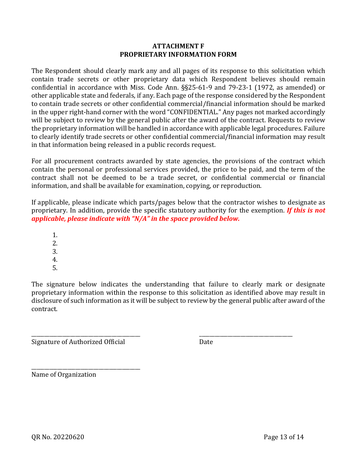#### **ATTACHMENT F PROPRIETARY INFORMATION FORM**

The Respondent should clearly mark any and all pages of its response to this solicitation which contain trade secrets or other proprietary data which Respondent believes should remain confidential in accordance with Miss. Code Ann. §§25-61-9 and 79-23-1 (1972, as amended) or other applicable state and federals, if any. Each page of the response considered by the Respondent to contain trade secrets or other confidential commercial/financial information should be marked in the upper right-hand corner with the word "CONFIDENTIAL." Any pages not marked accordingly will be subject to review by the general public after the award of the contract. Requests to review the proprietary information will be handled in accordance with applicable legal procedures. Failure to clearly identify trade secrets or other confidential commercial/financial information may result in that information being released in a public records request.

For all procurement contracts awarded by state agencies, the provisions of the contract which contain the personal or professional services provided, the price to be paid, and the term of the contract shall not be deemed to be a trade secret, or confidential commercial or financial information, and shall be available for examination, copying, or reproduction.

If applicable, please indicate which parts/pages below that the contractor wishes to designate as proprietary. In addition, provide the specific statutory authority for the exemption. *If this is not applicable, please indicate with "N/A" in the space provided below.*

1. 2. 3. 4.

5.

The signature below indicates the understanding that failure to clearly mark or designate proprietary information within the response to this solicitation as identified above may result in disclosure of such information as it will be subject to review by the general public after award of the contract.

\_\_\_\_\_\_\_\_\_\_\_\_\_\_\_\_\_\_\_\_\_\_\_\_\_\_\_\_\_\_\_\_\_\_\_\_\_\_\_\_\_\_ \_\_\_\_\_\_\_\_\_\_\_\_\_\_\_\_\_\_\_\_\_\_\_\_\_\_\_\_\_\_\_\_\_\_\_\_ Signature of Authorized Official Date

\_\_\_\_\_\_\_\_\_\_\_\_\_\_\_\_\_\_\_\_\_\_\_\_\_\_\_\_\_\_\_\_\_\_\_\_\_\_\_\_\_\_ Name of Organization